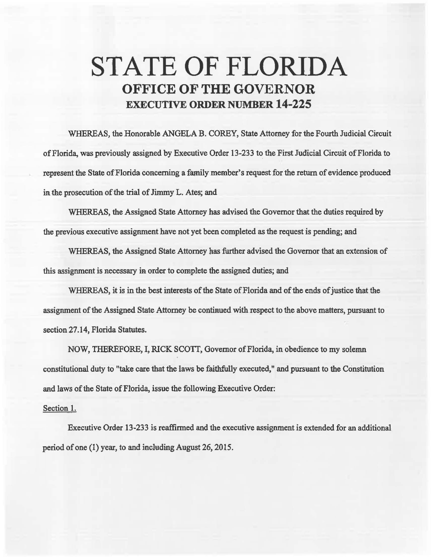## STATE OF FLORIDA OFFICE OF THE GOVERNOR EXECUTIVE ORDER NUMBER 14-225

WHEREAS, the Honorable ANGELA B. COREY, State Attorney for the Fourth Judicial Circuit of Florida, was previously assigned by Executive Order 13-233 to the First Judicial Circuit of Florida to represent the State of Florida concerning a family member's request for the return of evidence produced in the prosecution of the trial of Jimmy L. Ates; and

WHEREAS, the Assigned State Attorney has advised the Governor that the duties required by the previous executive assignment have not yet been completed as the request is pending; and

WHEREAS, the Assigned State Attorney has further advised the Governor that an extension of this assignment is necessary in order to complete the assigned duties; and

WHEREAS, it is in the best interests of the State of Florida and of the ends of justice that the assignment of the Assigned State Attorney be continued with respect to the above matters, pursuant to section 27.14, Florida Statutes.

NOW, THEREFORE, I, RICK SCOTT, Governor of Florida, in obedience to my solemn constitutional duty to "take care that the laws be faithfully executed," and pursuant to the Constitution and laws of the State of Florida, issue the following Executive Order:

## Section 1.

Executive Order 13-233 is reaffirmed and the executive assignment is extended for an additional period of one (1) year, to and including August 26, 2015.